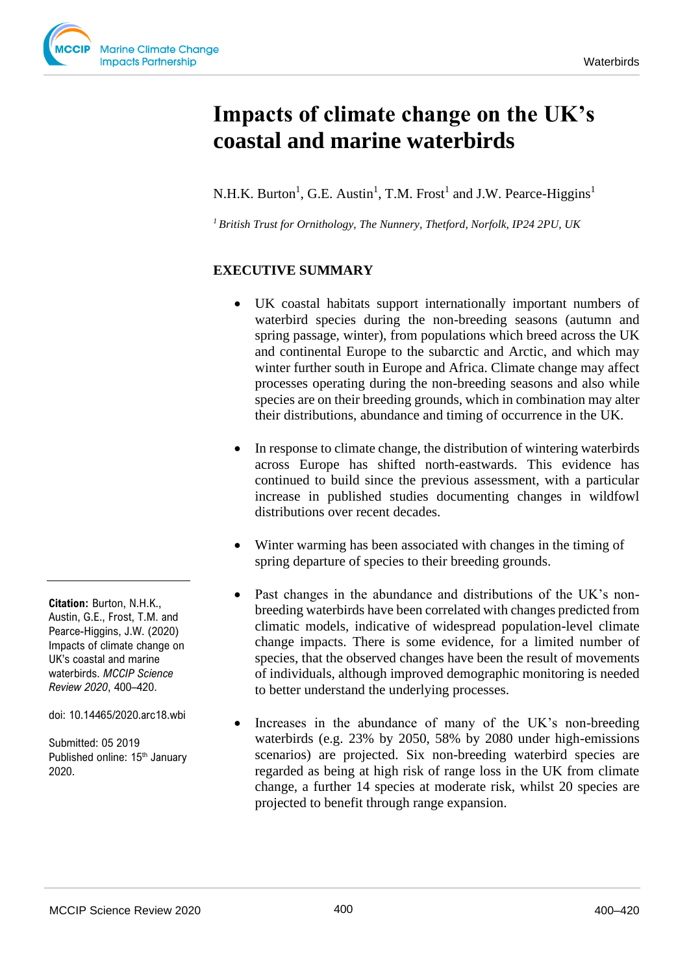

# **Impacts of climate change on the UK's coastal and marine waterbirds**

# N.H.K. Burton<sup>1</sup>, G.E. Austin<sup>1</sup>, T.M. Frost<sup>1</sup> and J.W. Pearce-Higgins<sup>1</sup>

*<sup>1</sup>British Trust for Ornithology, The Nunnery, Thetford, Norfolk, IP24 2PU, UK* 

# **EXECUTIVE SUMMARY**

- UK coastal habitats support internationally important numbers of waterbird species during the non-breeding seasons (autumn and spring passage, winter), from populations which breed across the UK and continental Europe to the subarctic and Arctic, and which may winter further south in Europe and Africa. Climate change may affect processes operating during the non-breeding seasons and also while species are on their breeding grounds, which in combination may alter their distributions, abundance and timing of occurrence in the UK.
- In response to climate change, the distribution of wintering waterbirds across Europe has shifted north-eastwards. This evidence has continued to build since the previous assessment, with a particular increase in published studies documenting changes in wildfowl distributions over recent decades.
- Winter warming has been associated with changes in the timing of spring departure of species to their breeding grounds.
- Past changes in the abundance and distributions of the UK's nonbreeding waterbirds have been correlated with changes predicted from climatic models, indicative of widespread population-level climate change impacts. There is some evidence, for a limited number of species, that the observed changes have been the result of movements of individuals, although improved demographic monitoring is needed to better understand the underlying processes.
- Increases in the abundance of many of the UK's non-breeding waterbirds (e.g. 23% by 2050, 58% by 2080 under high-emissions scenarios) are projected. Six non-breeding waterbird species are regarded as being at high risk of range loss in the UK from climate change, a further 14 species at moderate risk, whilst 20 species are projected to benefit through range expansion.

**Citation:** Burton, N.H.K., Austin, G.E., Frost, T.M. and Pearce-Higgins, J.W. (2020) Impacts of climate change on UK's coastal and marine waterbirds. *MCCIP Science Review 2020*, 400–420.

doi: 10.14465/2020.arc18.wbi

Submitted: 05 2019 Published online: 15<sup>th</sup> January 2020.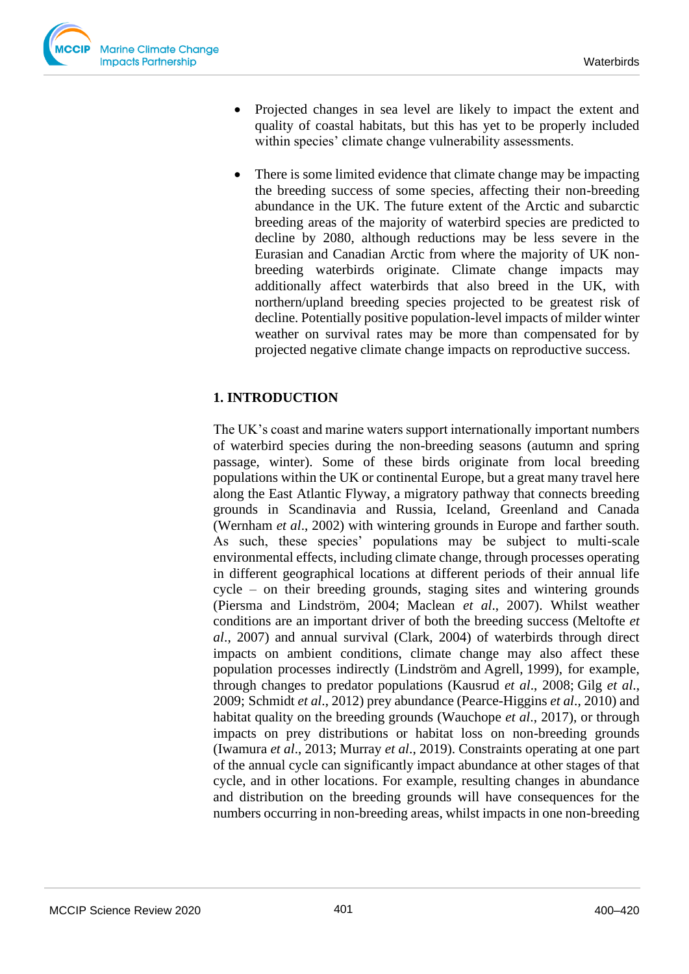

- Projected changes in sea level are likely to impact the extent and quality of coastal habitats, but this has yet to be properly included within species' climate change vulnerability assessments.
- There is some limited evidence that climate change may be impacting the breeding success of some species, affecting their non-breeding abundance in the UK. The future extent of the Arctic and subarctic breeding areas of the majority of waterbird species are predicted to decline by 2080, although reductions may be less severe in the Eurasian and Canadian Arctic from where the majority of UK nonbreeding waterbirds originate. Climate change impacts may additionally affect waterbirds that also breed in the UK, with northern/upland breeding species projected to be greatest risk of decline. Potentially positive population-level impacts of milder winter weather on survival rates may be more than compensated for by projected negative climate change impacts on reproductive success.

# **1. INTRODUCTION**

The UK's coast and marine waters support internationally important numbers of waterbird species during the non-breeding seasons (autumn and spring passage, winter). Some of these birds originate from local breeding populations within the UK or continental Europe, but a great many travel here along the East Atlantic Flyway, a migratory pathway that connects breeding grounds in Scandinavia and Russia, Iceland, Greenland and Canada (Wernham *et al*., 2002) with wintering grounds in Europe and farther south. As such, these species' populations may be subject to multi-scale environmental effects, including climate change, through processes operating in different geographical locations at different periods of their annual life cycle – on their breeding grounds, staging sites and wintering grounds (Piersma and Lindström, 2004; Maclean *et al*., 2007). Whilst weather conditions are an important driver of both the breeding success (Meltofte *et al*., 2007) and annual survival (Clark, 2004) of waterbirds through direct impacts on ambient conditions, climate change may also affect these population processes indirectly (Lindström and Agrell, 1999), for example, through changes to predator populations (Kausrud *et al*., 2008; Gilg *et al*., 2009; Schmidt *et al*., 2012) prey abundance (Pearce-Higgins *et al*., 2010) and habitat quality on the breeding grounds (Wauchope *et al*., 2017), or through impacts on prey distributions or habitat loss on non-breeding grounds (Iwamura *et al*., 2013; Murray *et al*., 2019). Constraints operating at one part of the annual cycle can significantly impact abundance at other stages of that cycle, and in other locations. For example, resulting changes in abundance and distribution on the breeding grounds will have consequences for the numbers occurring in non-breeding areas, whilst impacts in one non-breeding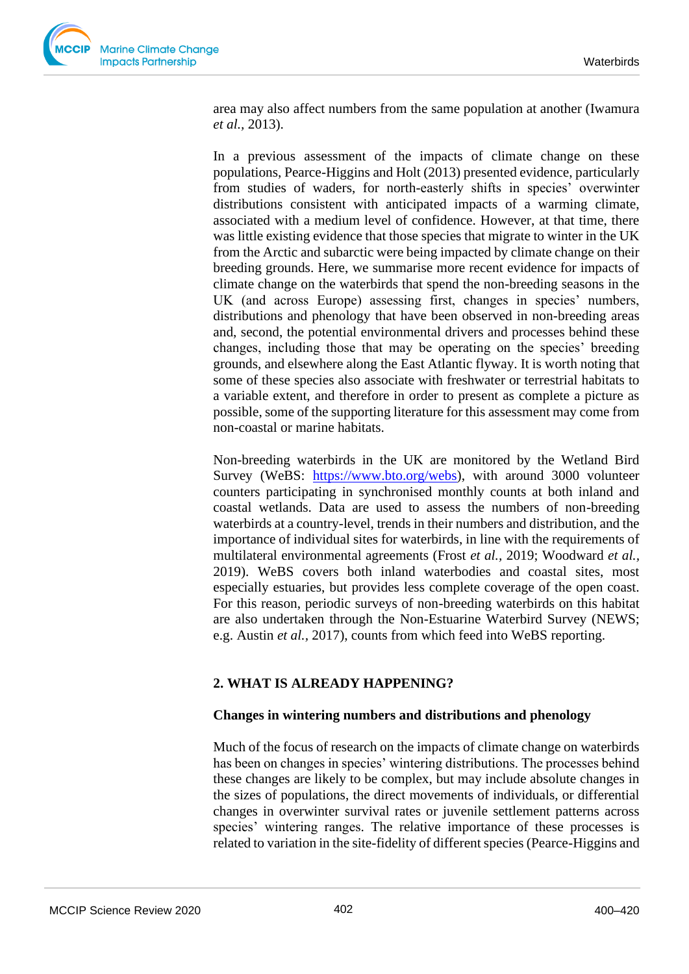area may also affect numbers from the same population at another (Iwamura *et al.,* 2013).

In a previous assessment of the impacts of climate change on these populations, Pearce-Higgins and Holt (2013) presented evidence, particularly from studies of waders, for north-easterly shifts in species' overwinter distributions consistent with anticipated impacts of a warming climate, associated with a medium level of confidence. However, at that time, there was little existing evidence that those species that migrate to winter in the UK from the Arctic and subarctic were being impacted by climate change on their breeding grounds. Here, we summarise more recent evidence for impacts of climate change on the waterbirds that spend the non-breeding seasons in the UK (and across Europe) assessing first, changes in species' numbers, distributions and phenology that have been observed in non-breeding areas and, second, the potential environmental drivers and processes behind these changes, including those that may be operating on the species' breeding grounds, and elsewhere along the East Atlantic flyway. It is worth noting that some of these species also associate with freshwater or terrestrial habitats to a variable extent, and therefore in order to present as complete a picture as possible, some of the supporting literature for this assessment may come from non-coastal or marine habitats.

Non-breeding waterbirds in the UK are monitored by the Wetland Bird Survey (WeBS: [https://www.bto.org/webs\)](https://www.bto.org/webs), with around 3000 volunteer counters participating in synchronised monthly counts at both inland and coastal wetlands. Data are used to assess the numbers of non-breeding waterbirds at a country-level, trends in their numbers and distribution, and the importance of individual sites for waterbirds, in line with the requirements of multilateral environmental agreements (Frost *et al.,* 2019; Woodward *et al.,*  2019). WeBS covers both inland waterbodies and coastal sites, most especially estuaries, but provides less complete coverage of the open coast. For this reason, periodic surveys of non-breeding waterbirds on this habitat are also undertaken through the Non-Estuarine Waterbird Survey (NEWS; e.g. Austin *et al.,* 2017), counts from which feed into WeBS reporting.

#### **2. WHAT IS ALREADY HAPPENING?**

#### **Changes in wintering numbers and distributions and phenology**

Much of the focus of research on the impacts of climate change on waterbirds has been on changes in species' wintering distributions. The processes behind these changes are likely to be complex, but may include absolute changes in the sizes of populations, the direct movements of individuals, or differential changes in overwinter survival rates or juvenile settlement patterns across species' wintering ranges. The relative importance of these processes is related to variation in the site-fidelity of different species (Pearce-Higgins and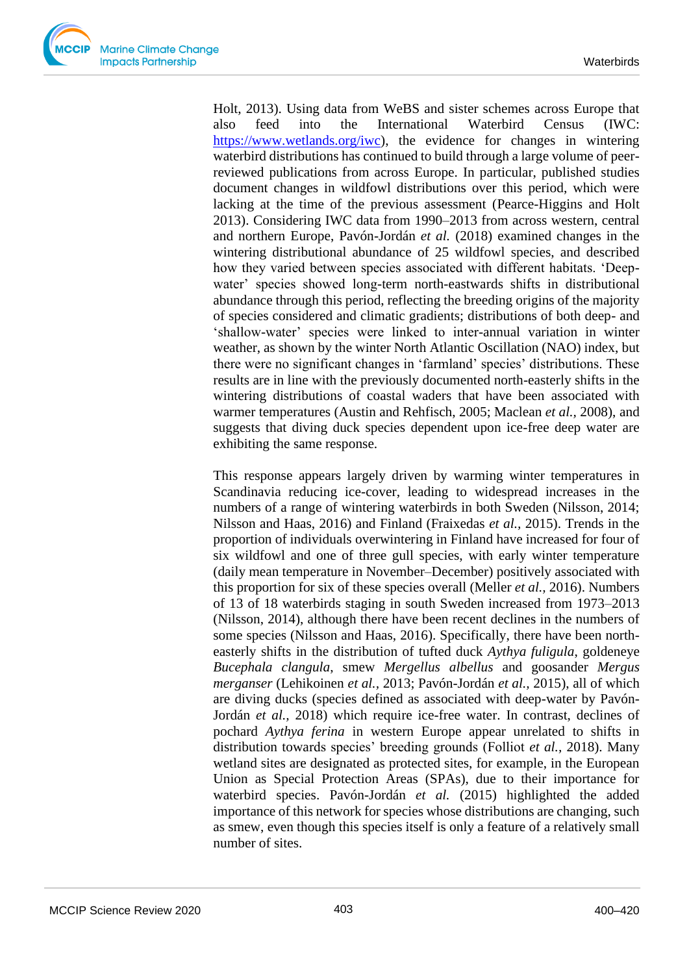

Holt, 2013). Using data from WeBS and sister schemes across Europe that also feed into the International Waterbird Census (IWC: [https://www.wetlands.org/iwc\)](https://www.wetlands.org/iwc), the evidence for changes in wintering waterbird distributions has continued to build through a large volume of peerreviewed publications from across Europe. In particular, published studies document changes in wildfowl distributions over this period, which were lacking at the time of the previous assessment (Pearce-Higgins and Holt 2013). Considering IWC data from 1990–2013 from across western, central and northern Europe, Pavón-Jordán *et al.* (2018) examined changes in the wintering distributional abundance of 25 wildfowl species, and described how they varied between species associated with different habitats. 'Deepwater' species showed long-term north-eastwards shifts in distributional abundance through this period, reflecting the breeding origins of the majority of species considered and climatic gradients; distributions of both deep- and 'shallow-water' species were linked to inter-annual variation in winter weather, as shown by the winter North Atlantic Oscillation (NAO) index, but there were no significant changes in 'farmland' species' distributions. These results are in line with the previously documented north-easterly shifts in the wintering distributions of coastal waders that have been associated with warmer temperatures (Austin and Rehfisch, 2005; Maclean *et al.,* 2008), and suggests that diving duck species dependent upon ice-free deep water are exhibiting the same response.

This response appears largely driven by warming winter temperatures in Scandinavia reducing ice-cover, leading to widespread increases in the numbers of a range of wintering waterbirds in both Sweden (Nilsson, 2014; Nilsson and Haas, 2016) and Finland (Fraixedas *et al.,* 2015). Trends in the proportion of individuals overwintering in Finland have increased for four of six wildfowl and one of three gull species, with early winter temperature (daily mean temperature in November–December) positively associated with this proportion for six of these species overall (Meller *et al.,* 2016). Numbers of 13 of 18 waterbirds staging in south Sweden increased from 1973–2013 (Nilsson, 2014), although there have been recent declines in the numbers of some species (Nilsson and Haas, 2016). Specifically, there have been northeasterly shifts in the distribution of tufted duck *Aythya fuligula*, goldeneye *Bucephala clangula*, smew *Mergellus albellus* and goosander *Mergus merganser* (Lehikoinen *et al.,* 2013; Pavón-Jordán *et al.,* 2015), all of which are diving ducks (species defined as associated with deep-water by Pavón-Jordán *et al.,* 2018) which require ice-free water. In contrast, declines of pochard *Aythya ferina* in western Europe appear unrelated to shifts in distribution towards species' breeding grounds (Folliot *et al.,* 2018). Many wetland sites are designated as protected sites, for example, in the European Union as Special Protection Areas (SPAs), due to their importance for waterbird species. Pavón-Jordán *et al.* (2015) highlighted the added importance of this network for species whose distributions are changing, such as smew, even though this species itself is only a feature of a relatively small number of sites.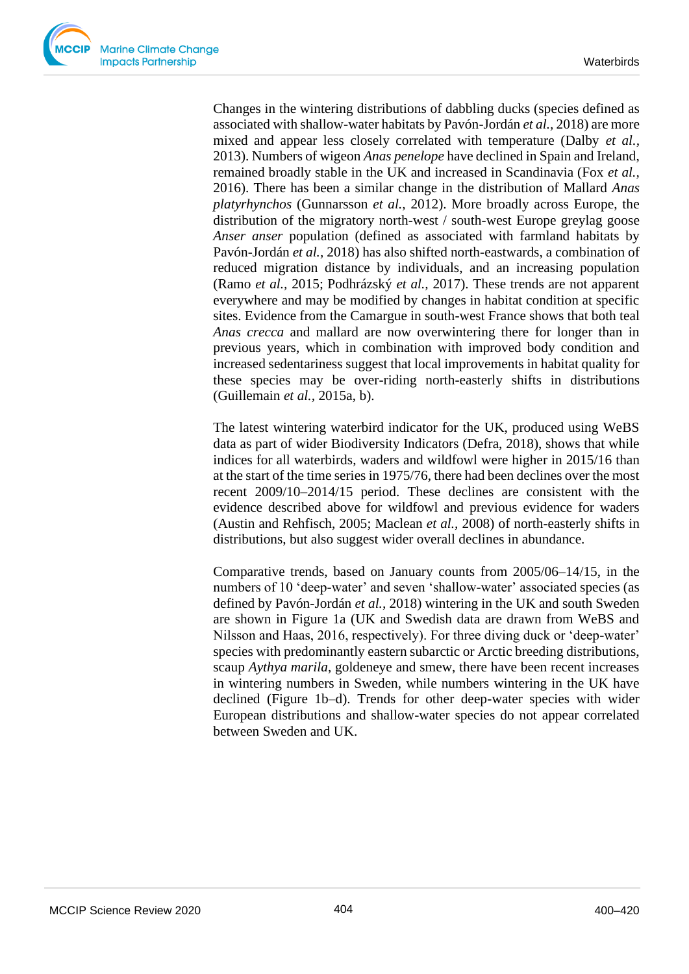Changes in the wintering distributions of dabbling ducks (species defined as associated with shallow-water habitats by Pavón-Jordán *et al.,* 2018) are more mixed and appear less closely correlated with temperature (Dalby *et al.,*  2013). Numbers of wigeon *Anas penelope* have declined in Spain and Ireland, remained broadly stable in the UK and increased in Scandinavia (Fox *et al.,*  2016). There has been a similar change in the distribution of Mallard *Anas platyrhynchos* (Gunnarsson *et al.,* 2012). More broadly across Europe, the distribution of the migratory north-west / south-west Europe greylag goose *Anser anser* population (defined as associated with farmland habitats by Pavón-Jordán *et al.,* 2018) has also shifted north-eastwards, a combination of reduced migration distance by individuals, and an increasing population (Ramo *et al.,* 2015; Podhrázský *et al.,* 2017). These trends are not apparent everywhere and may be modified by changes in habitat condition at specific sites. Evidence from the Camargue in south-west France shows that both teal *Anas crecca* and mallard are now overwintering there for longer than in previous years, which in combination with improved body condition and increased sedentariness suggest that local improvements in habitat quality for these species may be over-riding north-easterly shifts in distributions (Guillemain *et al.,* 2015a, b).

The latest wintering waterbird indicator for the UK, produced using WeBS data as part of wider Biodiversity Indicators (Defra, 2018), shows that while indices for all waterbirds, waders and wildfowl were higher in 2015/16 than at the start of the time series in 1975/76, there had been declines over the most recent 2009/10–2014/15 period. These declines are consistent with the evidence described above for wildfowl and previous evidence for waders (Austin and Rehfisch, 2005; Maclean *et al.,* 2008) of north-easterly shifts in distributions, but also suggest wider overall declines in abundance.

Comparative trends, based on January counts from 2005/06–14/15, in the numbers of 10 'deep-water' and seven 'shallow-water' associated species (as defined by Pavón-Jordán *et al.,* 2018) wintering in the UK and south Sweden are shown in Figure 1a (UK and Swedish data are drawn from WeBS and Nilsson and Haas, 2016, respectively). For three diving duck or 'deep-water' species with predominantly eastern subarctic or Arctic breeding distributions, scaup *Aythya marila*, goldeneye and smew, there have been recent increases in wintering numbers in Sweden, while numbers wintering in the UK have declined (Figure 1b–d). Trends for other deep-water species with wider European distributions and shallow-water species do not appear correlated between Sweden and UK.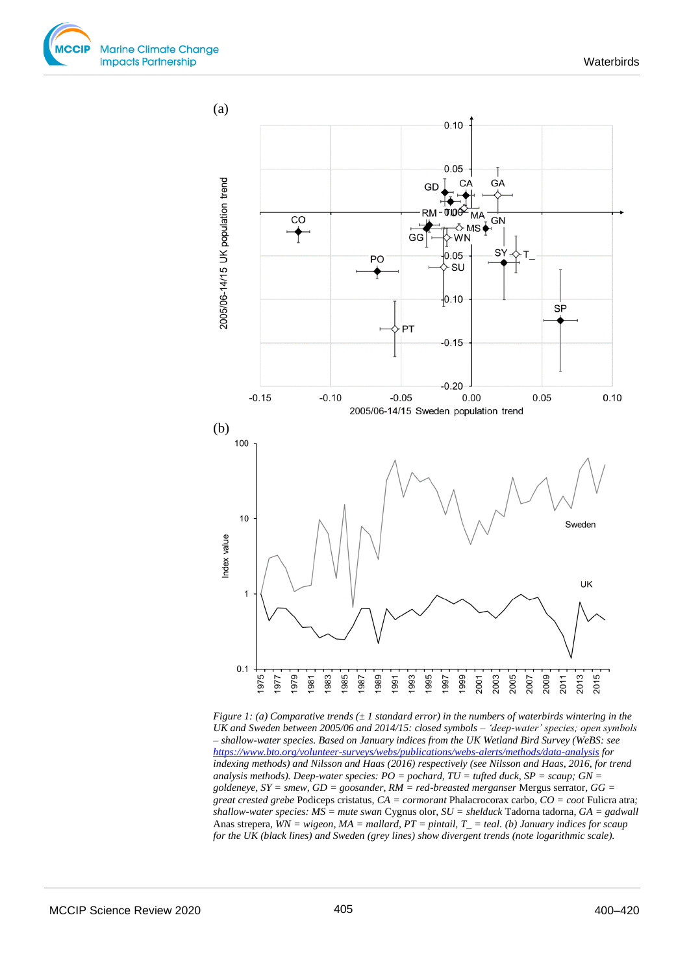





*Figure 1: (a) Comparative trends (± 1 standard error) in the numbers of waterbirds wintering in the UK and Sweden between 2005/06 and 2014/15: closed symbols – 'deep-water' species; open symbols – shallow-water species. Based on January indices from the UK Wetland Bird Survey (WeBS: see <https://www.bto.org/volunteer-surveys/webs/publications/webs-alerts/methods/data-analysis> for indexing methods) and Nilsson and Haas (2016) respectively (see Nilsson and Haas, 2016, for trend analysis methods). Deep-water species: PO = pochard, TU = tufted duck, SP = scaup; GN = goldeneye, SY = smew, GD = goosander, RM = red-breasted merganser* Mergus serrator*, GG = great crested grebe* Podiceps cristatus*, CA = cormorant* Phalacrocorax carbo*, CO = coot* Fulicra atra*; shallow-water species: MS = mute swan* Cygnus olor*, SU = shelduck* Tadorna tadorna*, GA = gadwall*  Anas strepera*, WN = wigeon, MA = mallard, PT = pintail, T\_ = teal. (b) January indices for scaup for the UK (black lines) and Sweden (grey lines) show divergent trends (note logarithmic scale).*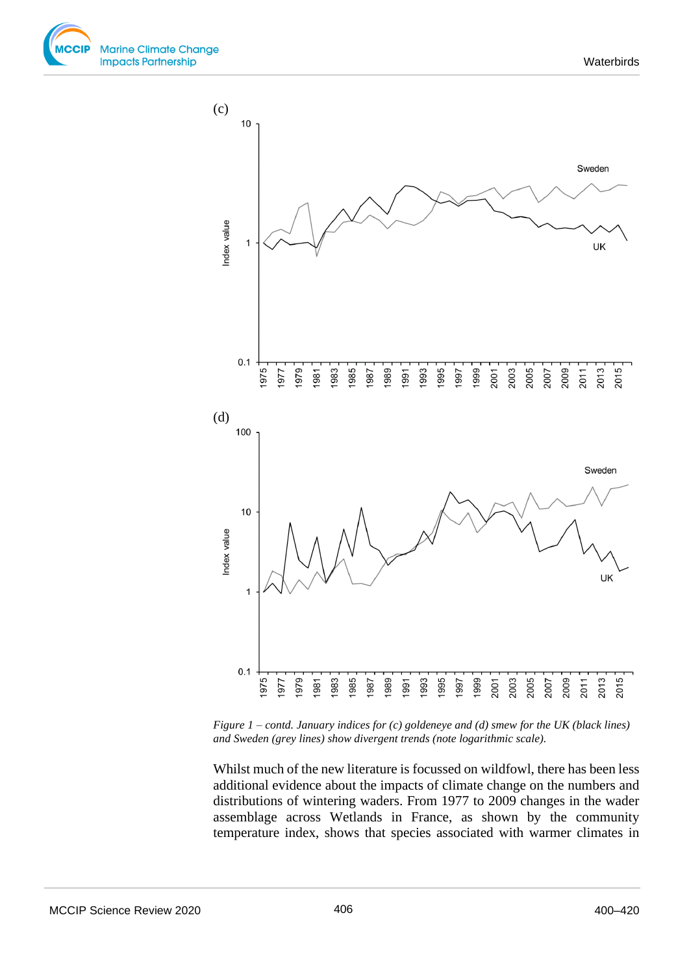



*Figure 1 – contd. January indices for (c) goldeneye and (d) smew for the UK (black lines) and Sweden (grey lines) show divergent trends (note logarithmic scale).* 

Whilst much of the new literature is focussed on wildfowl, there has been less additional evidence about the impacts of climate change on the numbers and distributions of wintering waders. From 1977 to 2009 changes in the wader assemblage across Wetlands in France, as shown by the community temperature index, shows that species associated with warmer climates in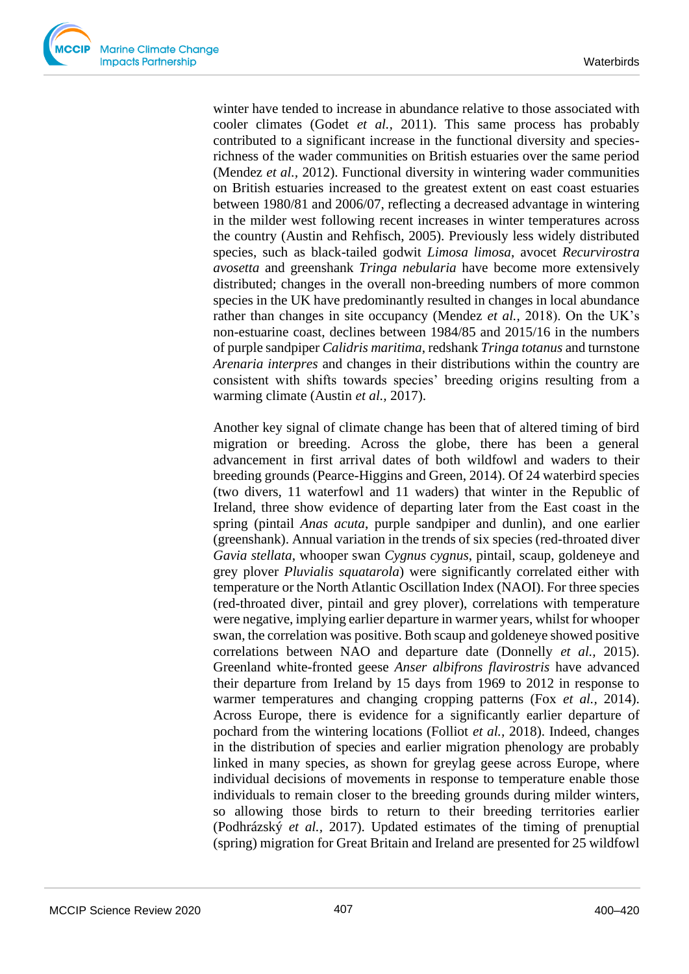winter have tended to increase in abundance relative to those associated with cooler climates (Godet *et al.,* 2011). This same process has probably contributed to a significant increase in the functional diversity and speciesrichness of the wader communities on British estuaries over the same period (Mendez *et al.,* 2012). Functional diversity in wintering wader communities on British estuaries increased to the greatest extent on east coast estuaries between 1980/81 and 2006/07, reflecting a decreased advantage in wintering in the milder west following recent increases in winter temperatures across the country (Austin and Rehfisch, 2005). Previously less widely distributed species, such as black-tailed godwit *Limosa limosa*, avocet *Recurvirostra avosetta* and greenshank *Tringa nebularia* have become more extensively distributed; changes in the overall non-breeding numbers of more common species in the UK have predominantly resulted in changes in local abundance rather than changes in site occupancy (Mendez *et al.,* 2018). On the UK's non-estuarine coast, declines between 1984/85 and 2015/16 in the numbers of purple sandpiper *Calidris maritima*, redshank *Tringa totanus* and turnstone *Arenaria interpres* and changes in their distributions within the country are consistent with shifts towards species' breeding origins resulting from a warming climate (Austin *et al.,* 2017).

Another key signal of climate change has been that of altered timing of bird migration or breeding. Across the globe, there has been a general advancement in first arrival dates of both wildfowl and waders to their breeding grounds (Pearce-Higgins and Green, 2014). Of 24 waterbird species (two divers, 11 waterfowl and 11 waders) that winter in the Republic of Ireland, three show evidence of departing later from the East coast in the spring (pintail *Anas acuta*, purple sandpiper and dunlin), and one earlier (greenshank). Annual variation in the trends of six species (red-throated diver *Gavia stellata*, whooper swan *Cygnus cygnus*, pintail, scaup, goldeneye and grey plover *Pluvialis squatarola*) were significantly correlated either with temperature or the North Atlantic Oscillation Index (NAOI). For three species (red-throated diver, pintail and grey plover), correlations with temperature were negative, implying earlier departure in warmer years, whilst for whooper swan, the correlation was positive. Both scaup and goldeneye showed positive correlations between NAO and departure date (Donnelly *et al.,* 2015). Greenland white-fronted geese *Anser albifrons flavirostris* have advanced their departure from Ireland by 15 days from 1969 to 2012 in response to warmer temperatures and changing cropping patterns (Fox *et al.,* 2014). Across Europe, there is evidence for a significantly earlier departure of pochard from the wintering locations (Folliot *et al.,* 2018). Indeed, changes in the distribution of species and earlier migration phenology are probably linked in many species, as shown for greylag geese across Europe, where individual decisions of movements in response to temperature enable those individuals to remain closer to the breeding grounds during milder winters, so allowing those birds to return to their breeding territories earlier (Podhrázský *et al.,* 2017). Updated estimates of the timing of prenuptial (spring) migration for Great Britain and Ireland are presented for 25 wildfowl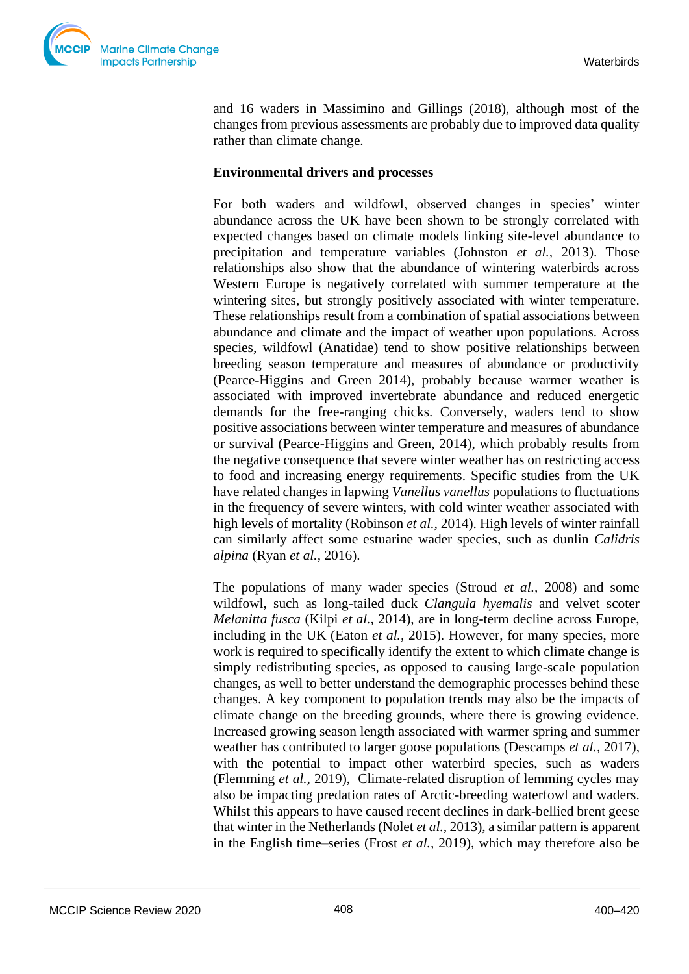

and 16 waders in Massimino and Gillings (2018), although most of the changes from previous assessments are probably due to improved data quality rather than climate change.

#### **Environmental drivers and processes**

For both waders and wildfowl, observed changes in species' winter abundance across the UK have been shown to be strongly correlated with expected changes based on climate models linking site-level abundance to precipitation and temperature variables (Johnston *et al.,* 2013). Those relationships also show that the abundance of wintering waterbirds across Western Europe is negatively correlated with summer temperature at the wintering sites, but strongly positively associated with winter temperature. These relationships result from a combination of spatial associations between abundance and climate and the impact of weather upon populations. Across species, wildfowl (Anatidae) tend to show positive relationships between breeding season temperature and measures of abundance or productivity (Pearce-Higgins and Green 2014), probably because warmer weather is associated with improved invertebrate abundance and reduced energetic demands for the free-ranging chicks. Conversely, waders tend to show positive associations between winter temperature and measures of abundance or survival (Pearce-Higgins and Green, 2014), which probably results from the negative consequence that severe winter weather has on restricting access to food and increasing energy requirements. Specific studies from the UK have related changes in lapwing *Vanellus vanellus* populations to fluctuations in the frequency of severe winters, with cold winter weather associated with high levels of mortality (Robinson *et al.,* 2014). High levels of winter rainfall can similarly affect some estuarine wader species, such as dunlin *Calidris alpina* (Ryan *et al.,* 2016).

The populations of many wader species (Stroud *et al.,* 2008) and some wildfowl, such as long-tailed duck *Clangula hyemalis* and velvet scoter *Melanitta fusca* (Kilpi *et al.,* 2014), are in long-term decline across Europe, including in the UK (Eaton *et al.,* 2015). However, for many species, more work is required to specifically identify the extent to which climate change is simply redistributing species, as opposed to causing large-scale population changes, as well to better understand the demographic processes behind these changes. A key component to population trends may also be the impacts of climate change on the breeding grounds, where there is growing evidence. Increased growing season length associated with warmer spring and summer weather has contributed to larger goose populations (Descamps *et al.,* 2017), with the potential to impact other waterbird species, such as waders (Flemming *et al.,* 2019), Climate-related disruption of lemming cycles may also be impacting predation rates of Arctic-breeding waterfowl and waders. Whilst this appears to have caused recent declines in dark-bellied brent geese that winter in the Netherlands (Nolet *et al.,* 2013), a similar pattern is apparent in the English time–series (Frost *et al.,* 2019), which may therefore also be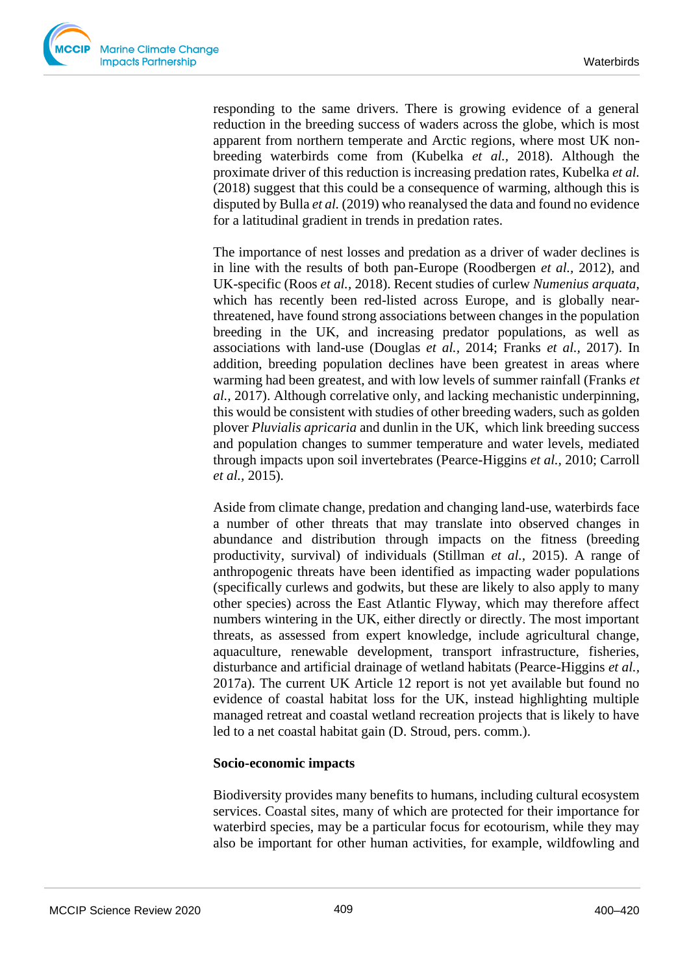responding to the same drivers. There is growing evidence of a general reduction in the breeding success of waders across the globe, which is most apparent from northern temperate and Arctic regions, where most UK nonbreeding waterbirds come from (Kubelka *et al.,* 2018). Although the proximate driver of this reduction is increasing predation rates, Kubelka *et al.*  (2018) suggest that this could be a consequence of warming, although this is disputed by Bulla *et al.* (2019) who reanalysed the data and found no evidence for a latitudinal gradient in trends in predation rates.

The importance of nest losses and predation as a driver of wader declines is in line with the results of both pan-Europe (Roodbergen *et al.,* 2012), and UK-specific (Roos *et al.,* 2018). Recent studies of curlew *Numenius arquata*, which has recently been red-listed across Europe, and is globally nearthreatened, have found strong associations between changes in the population breeding in the UK, and increasing predator populations, as well as associations with land-use (Douglas *et al.,* 2014; Franks *et al.,* 2017). In addition, breeding population declines have been greatest in areas where warming had been greatest, and with low levels of summer rainfall (Franks *et al.,* 2017). Although correlative only, and lacking mechanistic underpinning, this would be consistent with studies of other breeding waders, such as golden plover *Pluvialis apricaria* and dunlin in the UK, which link breeding success and population changes to summer temperature and water levels, mediated through impacts upon soil invertebrates (Pearce-Higgins *et al.,* 2010; Carroll *et al.,* 2015).

Aside from climate change, predation and changing land-use, waterbirds face a number of other threats that may translate into observed changes in abundance and distribution through impacts on the fitness (breeding productivity, survival) of individuals (Stillman *et al.,* 2015). A range of anthropogenic threats have been identified as impacting wader populations (specifically curlews and godwits, but these are likely to also apply to many other species) across the East Atlantic Flyway, which may therefore affect numbers wintering in the UK, either directly or directly. The most important threats, as assessed from expert knowledge, include agricultural change, aquaculture, renewable development, transport infrastructure, fisheries, disturbance and artificial drainage of wetland habitats (Pearce-Higgins *et al.,*  2017a). The current UK Article 12 report is not yet available but found no evidence of coastal habitat loss for the UK, instead highlighting multiple managed retreat and coastal wetland recreation projects that is likely to have led to a net coastal habitat gain (D. Stroud, pers. comm.).

#### **Socio-economic impacts**

Biodiversity provides many benefits to humans, including cultural ecosystem services. Coastal sites, many of which are protected for their importance for waterbird species, may be a particular focus for ecotourism, while they may also be important for other human activities, for example, wildfowling and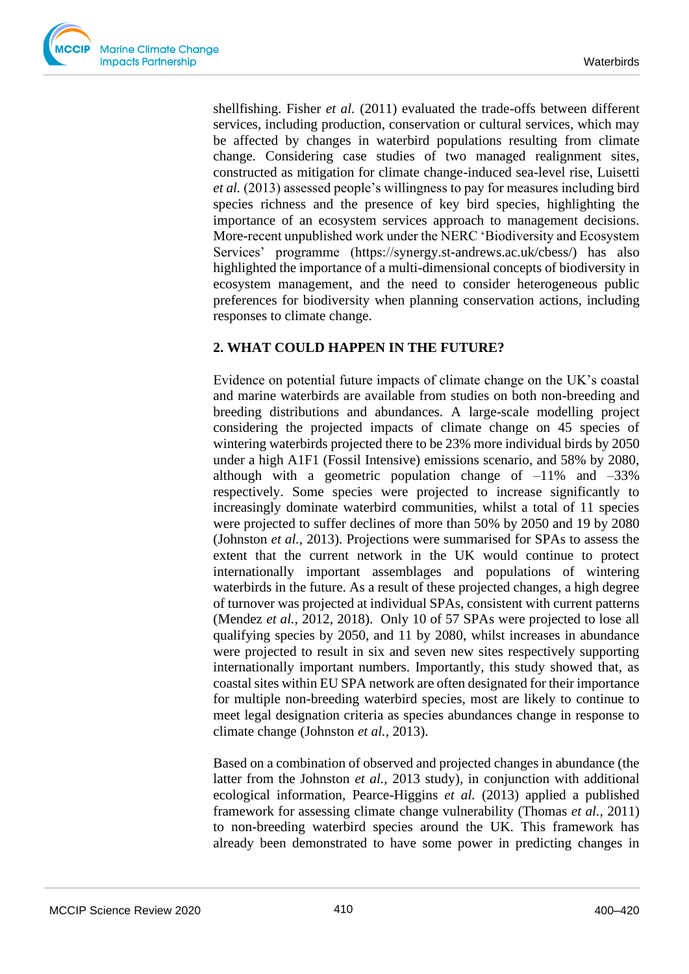shellfishing. Fisher *et al.* (2011) evaluated the trade-offs between different services, including production, conservation or cultural services, which may be affected by changes in waterbird populations resulting from climate change. Considering case studies of two managed realignment sites, constructed as mitigation for climate change-induced sea-level rise, Luisetti *et al.* (2013) assessed people's willingness to pay for measures including bird species richness and the presence of key bird species, highlighting the importance of an ecosystem services approach to management decisions. More-recent unpublished work under the NERC 'Biodiversity and Ecosystem Services' programme (https://synergy.st-andrews.ac.uk/cbess/) has also highlighted the importance of a multi-dimensional concepts of biodiversity in ecosystem management, and the need to consider heterogeneous public preferences for biodiversity when planning conservation actions, including responses to climate change.

## **2. WHAT COULD HAPPEN IN THE FUTURE?**

Evidence on potential future impacts of climate change on the UK's coastal and marine waterbirds are available from studies on both non-breeding and breeding distributions and abundances. A large-scale modelling project considering the projected impacts of climate change on 45 species of wintering waterbirds projected there to be 23% more individual birds by 2050 under a high A1F1 (Fossil Intensive) emissions scenario, and 58% by 2080, although with a geometric population change of  $-11\%$  and  $-33\%$ respectively. Some species were projected to increase significantly to increasingly dominate waterbird communities, whilst a total of 11 species were projected to suffer declines of more than 50% by 2050 and 19 by 2080 (Johnston *et al.,* 2013). Projections were summarised for SPAs to assess the extent that the current network in the UK would continue to protect internationally important assemblages and populations of wintering waterbirds in the future. As a result of these projected changes, a high degree of turnover was projected at individual SPAs, consistent with current patterns (Mendez *et al.,* 2012, 2018). Only 10 of 57 SPAs were projected to lose all qualifying species by 2050, and 11 by 2080, whilst increases in abundance were projected to result in six and seven new sites respectively supporting internationally important numbers. Importantly, this study showed that, as coastal sites within EU SPA network are often designated for their importance for multiple non-breeding waterbird species, most are likely to continue to meet legal designation criteria as species abundances change in response to climate change (Johnston *et al.,* 2013).

Based on a combination of observed and projected changes in abundance (the latter from the Johnston *et al.,* 2013 study), in conjunction with additional ecological information, Pearce-Higgins *et al.* (2013) applied a published framework for assessing climate change vulnerability (Thomas *et al.,* 2011) to non-breeding waterbird species around the UK. This framework has already been demonstrated to have some power in predicting changes in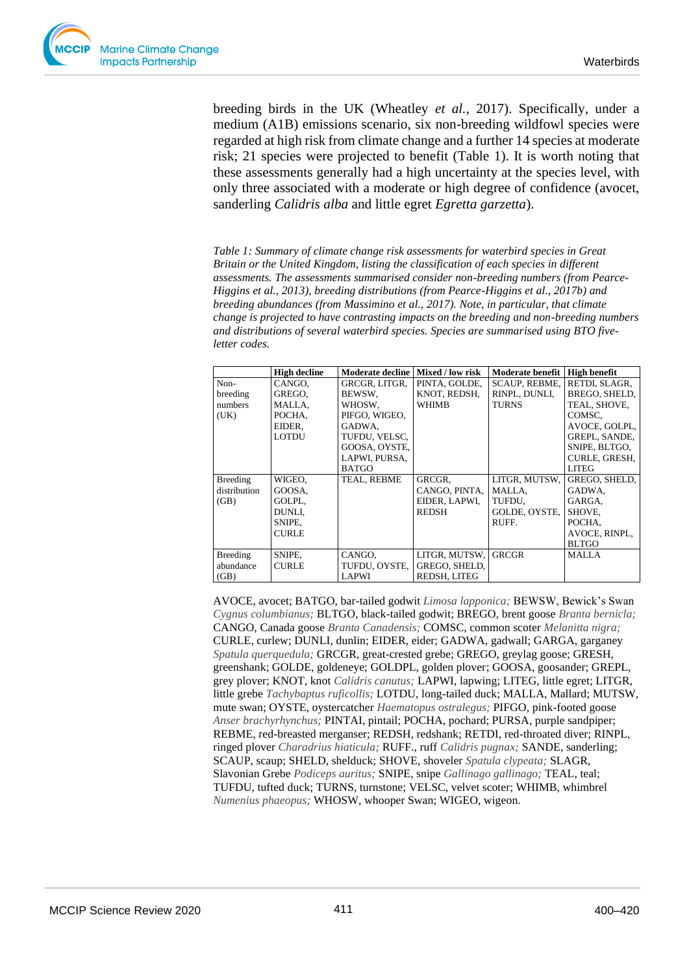breeding birds in the UK (Wheatley *et al.,* 2017). Specifically, under a medium (A1B) emissions scenario, six non-breeding wildfowl species were regarded at high risk from climate change and a further 14 species at moderate risk; 21 species were projected to benefit (Table 1). It is worth noting that these assessments generally had a high uncertainty at the species level, with only three associated with a moderate or high degree of confidence (avocet, sanderling *Calidris alba* and little egret *Egretta garzetta*).

*Table 1: Summary of climate change risk assessments for waterbird species in Great Britain or the United Kingdom, listing the classification of each species in different assessments. The assessments summarised consider non-breeding numbers (from Pearce-Higgins et al., 2013), breeding distributions (from Pearce-Higgins et al., 2017b) and breeding abundances (from Massimino et al., 2017). Note, in particular, that climate change is projected to have contrasting impacts on the breeding and non-breeding numbers and distributions of several waterbird species. Species are summarised using BTO fiveletter codes.* 

|                 | <b>High decline</b> | Moderate decline   Mixed / low risk |               | <b>Moderate benefit</b> | <b>High benefit</b> |
|-----------------|---------------------|-------------------------------------|---------------|-------------------------|---------------------|
| Non-            | CANGO.              | GRCGR, LITGR,                       | PINTA, GOLDE, | <b>SCAUP, REBME,</b>    | RETDI, SLAGR.       |
| breeding        | GREGO.              | BEWSW,                              | KNOT. REDSH.  | RINPL. DUNLI.           | BREGO, SHELD.       |
| numbers         | MALLA.              | WHOSW.                              | <b>WHIMB</b>  | <b>TURNS</b>            | TEAL, SHOVE,        |
| (UK)            | POCHA,              | PIFGO, WIGEO,                       |               |                         | COMSC.              |
|                 | EIDER.              | GADWA.                              |               |                         | AVOCE, GOLPL,       |
|                 | <b>LOTDU</b>        | TUFDU, VELSC,                       |               |                         | GREPL, SANDE,       |
|                 |                     | GOOSA, OYSTE,                       |               |                         | SNIPE, BLTGO,       |
|                 |                     | LAPWI. PURSA.                       |               |                         | CURLE, GRESH.       |
|                 |                     | <b>BATGO</b>                        |               |                         | <b>LITEG</b>        |
| Breeding        | WIGEO.              | TEAL, REBME                         | GRCGR.        | LITGR, MUTSW,           | GREGO, SHELD.       |
| distribution    | GOOSA,              |                                     | CANGO, PINTA, | MALLA,                  | GADWA,              |
| (GB)            | GOLPL,              |                                     | EIDER, LAPWI, | TUFDU.                  | GARGA.              |
|                 | DUNLI,              |                                     | <b>REDSH</b>  | GOLDE, OYSTE,           | SHOVE,              |
|                 | SNIPE.              |                                     |               | RUFF.                   | POCHA.              |
|                 | <b>CURLE</b>        |                                     |               |                         | AVOCE, RINPL,       |
|                 |                     |                                     |               |                         | <b>BLTGO</b>        |
| <b>Breeding</b> | SNIPE.              | CANGO.                              | LITGR, MUTSW, | <b>GRCGR</b>            | <b>MALLA</b>        |
| abundance       | <b>CURLE</b>        | TUFDU, OYSTE,                       | GREGO, SHELD, |                         |                     |
| (GB)            |                     | LAPWI                               | REDSH. LITEG  |                         |                     |

AVOCE, avocet; BATGO, bar-tailed godwit *Limosa lapponica;* BEWSW, Bewick's Swan *Cygnus columbianus;* BLTGO, black-tailed godwit; BREGO, brent goose *Branta bernicla;*  CANGO, Canada goose *Branta Canadensis;* COMSC, common scoter *Melanitta nigra;*  CURLE, curlew; DUNLI, dunlin; EIDER, eider; GADWA, gadwall; GARGA, garganey *Spatula querquedula;* GRCGR, great-crested grebe; GREGO, greylag goose; GRESH, greenshank; GOLDE, goldeneye; GOLDPL, golden plover; GOOSA, goosander; GREPL, grey plover; KNOT, knot *Calidris canutus;* LAPWI, lapwing; LITEG, little egret; LITGR, little grebe *Tachybaptus ruficollis;* LOTDU, long-tailed duck; MALLA, Mallard; MUTSW, mute swan; OYSTE, oystercatcher *Haematopus ostralegus;* PIFGO, pink-footed goose *Anser brachyrhynchus;* PINTAI, pintail; POCHA, pochard; PURSA, purple sandpiper; REBME, red-breasted merganser; REDSH, redshank; RETDI, red-throated diver; RINPL, ringed plover *Charadrius hiaticula;* RUFF., ruff *Calidris pugnax;* SANDE, sanderling; SCAUP, scaup; SHELD, shelduck; SHOVE, shoveler *Spatula clypeata;* SLAGR, Slavonian Grebe *Podiceps auritus;* SNIPE, snipe *Gallinago gallinago;* TEAL, teal; TUFDU, tufted duck; TURNS, turnstone; VELSC, velvet scoter; WHIMB, whimbrel *Numenius phaeopus;* WHOSW, whooper Swan; WIGEO, wigeon.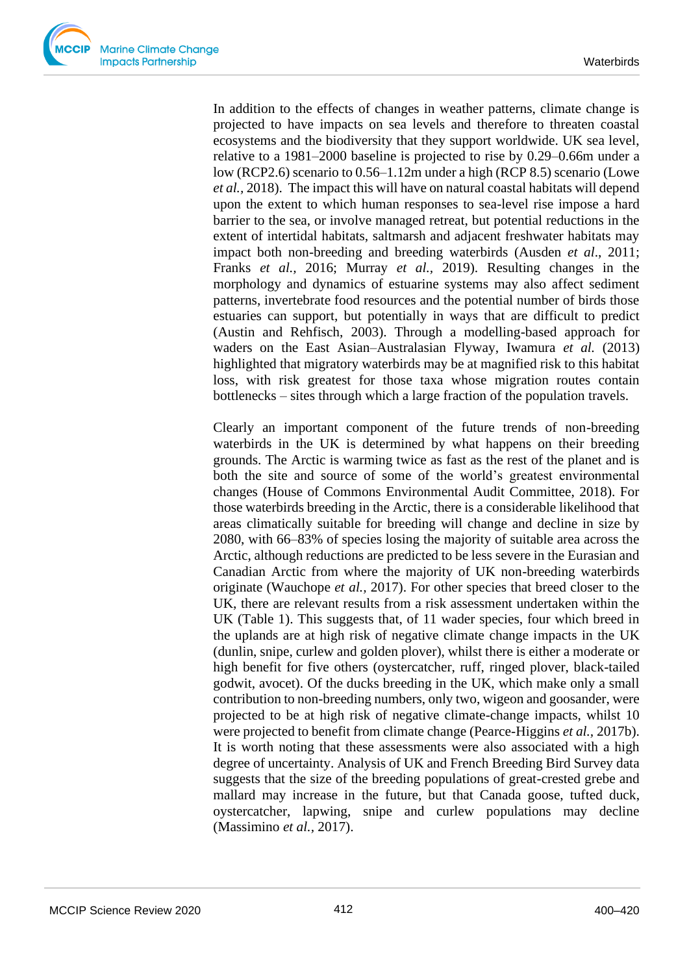In addition to the effects of changes in weather patterns, climate change is projected to have impacts on sea levels and therefore to threaten coastal ecosystems and the biodiversity that they support worldwide. UK sea level, relative to a 1981–2000 baseline is projected to rise by 0.29–0.66m under a low (RCP2.6) scenario to 0.56–1.12m under a high (RCP 8.5) scenario (Lowe *et al.,* 2018). The impact this will have on natural coastal habitats will depend upon the extent to which human responses to sea-level rise impose a hard barrier to the sea, or involve managed retreat, but potential reductions in the extent of intertidal habitats, saltmarsh and adjacent freshwater habitats may impact both non-breeding and breeding waterbirds (Ausden *et al*., 2011; Franks *et al.,* 2016; Murray *et al.,* 2019). Resulting changes in the morphology and dynamics of estuarine systems may also affect sediment patterns, invertebrate food resources and the potential number of birds those estuaries can support, but potentially in ways that are difficult to predict (Austin and Rehfisch, 2003). Through a modelling-based approach for waders on the East Asian–Australasian Flyway, Iwamura *et al.* (2013) highlighted that migratory waterbirds may be at magnified risk to this habitat loss, with risk greatest for those taxa whose migration routes contain bottlenecks – sites through which a large fraction of the population travels.

Clearly an important component of the future trends of non-breeding waterbirds in the UK is determined by what happens on their breeding grounds. The Arctic is warming twice as fast as the rest of the planet and is both the site and source of some of the world's greatest environmental changes (House of Commons Environmental Audit Committee, 2018). For those waterbirds breeding in the Arctic, there is a considerable likelihood that areas climatically suitable for breeding will change and decline in size by 2080, with 66–83% of species losing the majority of suitable area across the Arctic, although reductions are predicted to be less severe in the Eurasian and Canadian Arctic from where the majority of UK non-breeding waterbirds originate (Wauchope *et al.,* 2017). For other species that breed closer to the UK, there are relevant results from a risk assessment undertaken within the UK (Table 1). This suggests that, of 11 wader species, four which breed in the uplands are at high risk of negative climate change impacts in the UK (dunlin, snipe, curlew and golden plover), whilst there is either a moderate or high benefit for five others (oystercatcher, ruff, ringed plover, black-tailed godwit, avocet). Of the ducks breeding in the UK, which make only a small contribution to non-breeding numbers, only two, wigeon and goosander, were projected to be at high risk of negative climate-change impacts, whilst 10 were projected to benefit from climate change (Pearce-Higgins *et al.,* 2017b). It is worth noting that these assessments were also associated with a high degree of uncertainty. Analysis of UK and French Breeding Bird Survey data suggests that the size of the breeding populations of great-crested grebe and mallard may increase in the future, but that Canada goose, tufted duck, oystercatcher, lapwing, snipe and curlew populations may decline (Massimino *et al.,* 2017).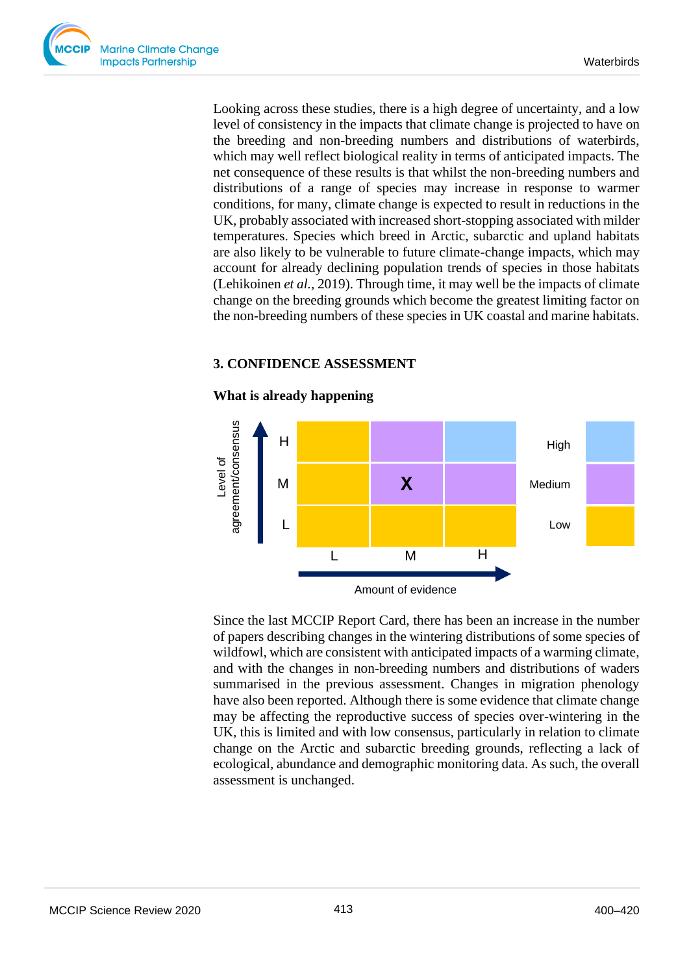

Looking across these studies, there is a high degree of uncertainty, and a low level of consistency in the impacts that climate change is projected to have on the breeding and non-breeding numbers and distributions of waterbirds, which may well reflect biological reality in terms of anticipated impacts. The net consequence of these results is that whilst the non-breeding numbers and distributions of a range of species may increase in response to warmer conditions, for many, climate change is expected to result in reductions in the UK, probably associated with increased short-stopping associated with milder temperatures. Species which breed in Arctic, subarctic and upland habitats are also likely to be vulnerable to future climate-change impacts, which may account for already declining population trends of species in those habitats (Lehikoinen *et al.,* 2019). Through time, it may well be the impacts of climate change on the breeding grounds which become the greatest limiting factor on the non-breeding numbers of these species in UK coastal and marine habitats.

### **3. CONFIDENCE ASSESSMENT**



**What is already happening**

Since the last MCCIP Report Card, there has been an increase in the number of papers describing changes in the wintering distributions of some species of wildfowl, which are consistent with anticipated impacts of a warming climate, and with the changes in non-breeding numbers and distributions of waders summarised in the previous assessment. Changes in migration phenology have also been reported. Although there is some evidence that climate change may be affecting the reproductive success of species over-wintering in the UK, this is limited and with low consensus, particularly in relation to climate change on the Arctic and subarctic breeding grounds, reflecting a lack of ecological, abundance and demographic monitoring data. As such, the overall assessment is unchanged.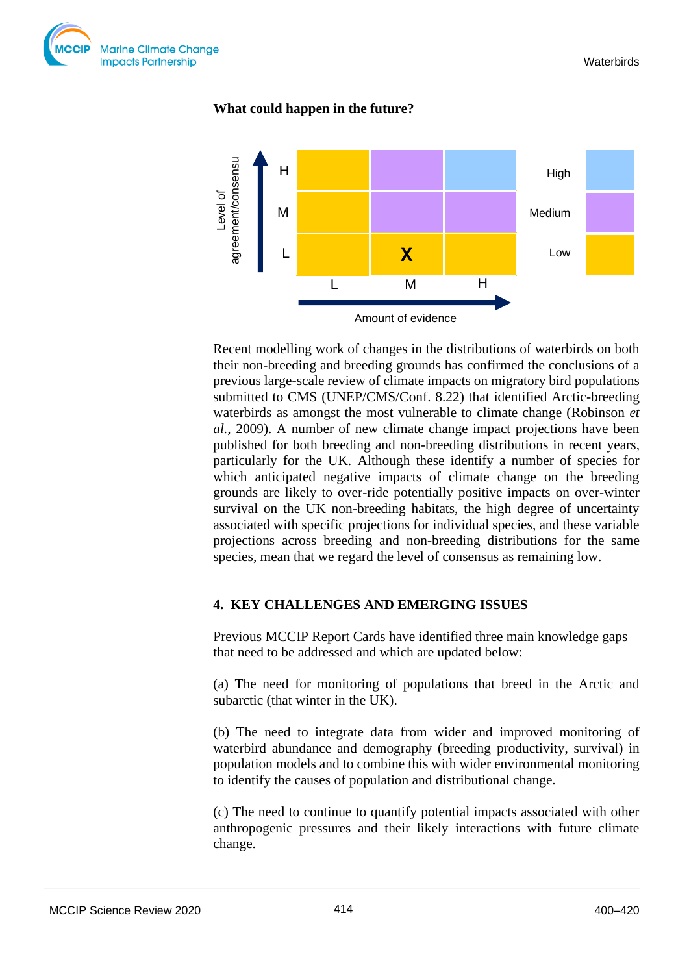

#### **What could happen in the future?**



Recent modelling work of changes in the distributions of waterbirds on both their non-breeding and breeding grounds has confirmed the conclusions of a previous large-scale review of climate impacts on migratory bird populations submitted to CMS (UNEP/CMS/Conf. 8.22) that identified Arctic-breeding waterbirds as amongst the most vulnerable to climate change (Robinson *et al.,* 2009). A number of new climate change impact projections have been published for both breeding and non-breeding distributions in recent years, particularly for the UK. Although these identify a number of species for which anticipated negative impacts of climate change on the breeding grounds are likely to over-ride potentially positive impacts on over-winter survival on the UK non-breeding habitats, the high degree of uncertainty associated with specific projections for individual species, and these variable projections across breeding and non-breeding distributions for the same species, mean that we regard the level of consensus as remaining low.

#### **4. KEY CHALLENGES AND EMERGING ISSUES**

Previous MCCIP Report Cards have identified three main knowledge gaps that need to be addressed and which are updated below:

(a) The need for monitoring of populations that breed in the Arctic and subarctic (that winter in the UK).

(b) The need to integrate data from wider and improved monitoring of waterbird abundance and demography (breeding productivity, survival) in population models and to combine this with wider environmental monitoring to identify the causes of population and distributional change.

(c) The need to continue to quantify potential impacts associated with other anthropogenic pressures and their likely interactions with future climate change.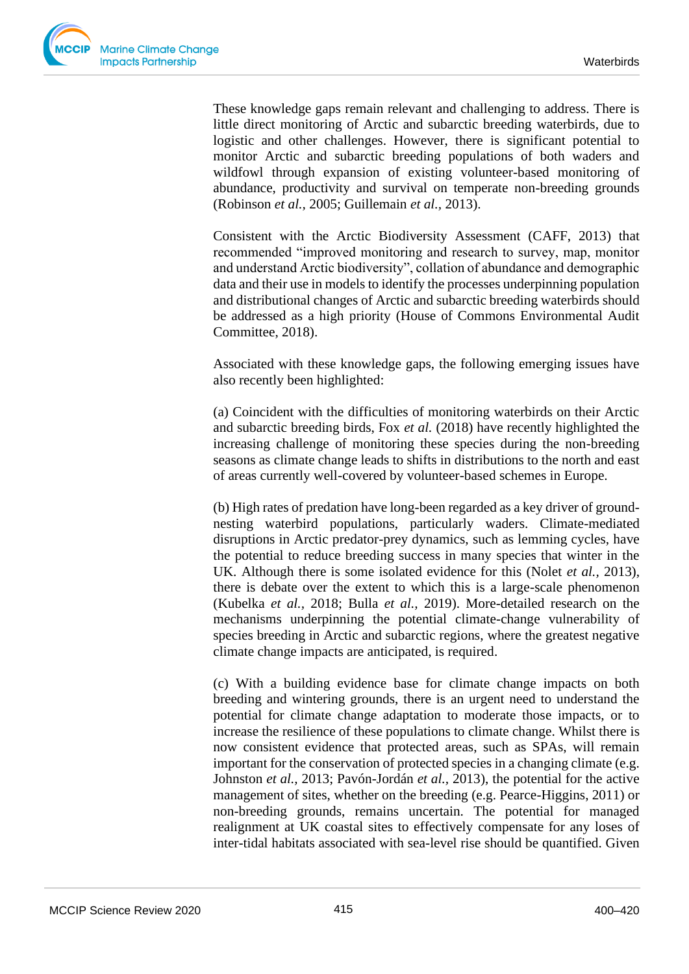

These knowledge gaps remain relevant and challenging to address. There is little direct monitoring of Arctic and subarctic breeding waterbirds, due to logistic and other challenges. However, there is significant potential to monitor Arctic and subarctic breeding populations of both waders and wildfowl through expansion of existing volunteer-based monitoring of abundance, productivity and survival on temperate non-breeding grounds [\(Robinson](https://sora.unm.edu/sites/default/files/8_RobinsonEtAl2005.pdf) *et al.,* 2005; Guillemain *et al.,* 2013).

Consistent with the Arctic Biodiversity Assessment (CAFF, 2013) that recommended "improved monitoring and research to survey, map, monitor and understand Arctic biodiversity", collation of abundance and demographic data and their use in models to identify the processes underpinning population and distributional changes of Arctic and subarctic breeding waterbirds should be addressed as a high priority (House of Commons Environmental Audit Committee, 2018).

Associated with these knowledge gaps, the following emerging issues have also recently been highlighted:

(a) Coincident with the difficulties of monitoring waterbirds on their Arctic and subarctic breeding birds, Fox *et al.* (2018) have recently highlighted the increasing challenge of monitoring these species during the non-breeding seasons as climate change leads to shifts in distributions to the north and east of areas currently well-covered by volunteer-based schemes in Europe.

(b) High rates of predation have long-been regarded as a key driver of groundnesting waterbird populations, particularly waders. Climate-mediated disruptions in Arctic predator-prey dynamics, such as lemming cycles, have the potential to reduce breeding success in many species that winter in the UK. Although there is some isolated evidence for this (Nolet *et al.,* 2013), there is debate over the extent to which this is a large-scale phenomenon (Kubelka *et al.,* 2018; Bulla *et al.,* 2019). More-detailed research on the mechanisms underpinning the potential climate-change vulnerability of species breeding in Arctic and subarctic regions, where the greatest negative climate change impacts are anticipated, is required.

(c) With a building evidence base for climate change impacts on both breeding and wintering grounds, there is an urgent need to understand the potential for climate change adaptation to moderate those impacts, or to increase the resilience of these populations to climate change. Whilst there is now consistent evidence that protected areas, such as SPAs, will remain important for the conservation of protected species in a changing climate (e.g. Johnston *et al.,* 2013; Pavón-Jordán *et al.,* 2013), the potential for the active management of sites, whether on the breeding (e.g. Pearce-Higgins, 2011) or non-breeding grounds, remains uncertain. The potential for managed realignment at UK coastal sites to effectively compensate for any loses of inter-tidal habitats associated with sea-level rise should be quantified. Given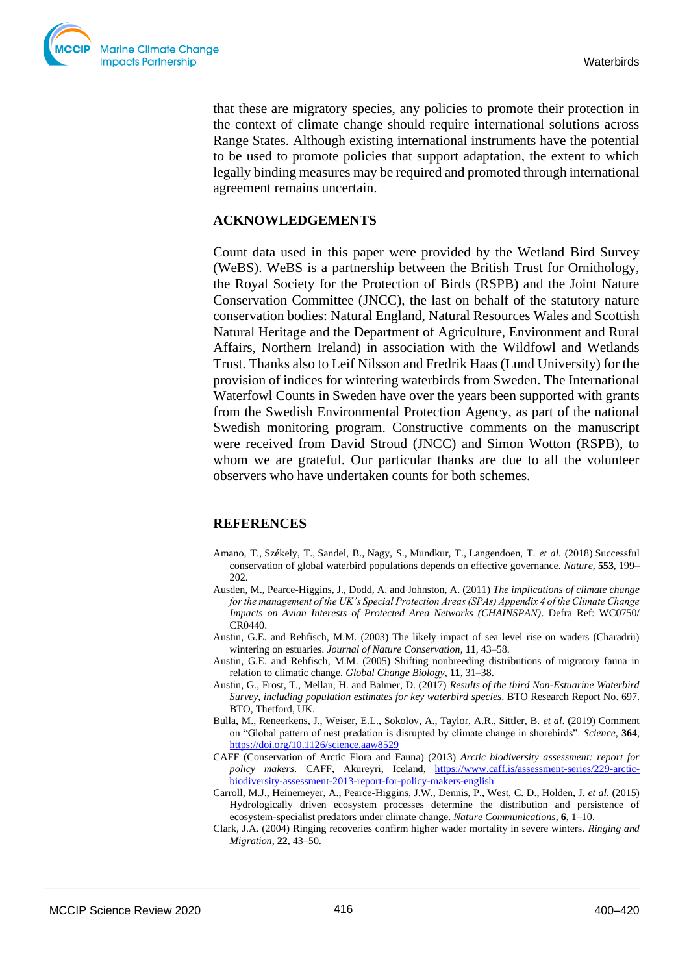

that these are migratory species, any policies to promote their protection in the context of climate change should require international solutions across Range States. Although existing international instruments have the potential to be used to promote policies that support adaptation, the extent to which legally binding measures may be required and promoted through international agreement remains uncertain.

#### **ACKNOWLEDGEMENTS**

Count data used in this paper were provided by the Wetland Bird Survey (WeBS). WeBS is a partnership between the British Trust for Ornithology, the Royal Society for the Protection of Birds (RSPB) and the Joint Nature Conservation Committee (JNCC), the last on behalf of the statutory nature conservation bodies: Natural England, Natural Resources Wales and Scottish Natural Heritage and the Department of Agriculture, Environment and Rural Affairs, Northern Ireland) in association with the Wildfowl and Wetlands Trust. Thanks also to Leif Nilsson and Fredrik Haas (Lund University) for the provision of indices for wintering waterbirds from Sweden. The International Waterfowl Counts in Sweden have over the years been supported with grants from the Swedish Environmental Protection Agency, as part of the national Swedish monitoring program. Constructive comments on the manuscript were received from David Stroud (JNCC) and Simon Wotton (RSPB), to whom we are grateful. Our particular thanks are due to all the volunteer observers who have undertaken counts for both schemes.

#### **REFERENCES**

- Amano, T., Székely, T., Sandel, B., Nagy, S., Mundkur, T., Langendoen, T. *et al*. (2018) Successful conservation of global waterbird populations depends on effective governance. *Nature*, **553**, 199– 202.
- Ausden, M., Pearce-Higgins, J., Dodd, A. and Johnston, A. (2011) *The implications of climate change for the management of the UK's Special Protection Areas (SPAs) Appendix 4 of the Climate Change Impacts on Avian Interests of Protected Area Networks (CHAINSPAN)*. Defra Ref: WC0750/ CR0440.
- Austin, G.E. and Rehfisch, M.M. (2003) The likely impact of sea level rise on waders (Charadrii) wintering on estuaries. *Journal of Nature Conservation*, **11**, 43–58.
- Austin, G.E. and Rehfisch, M.M. (2005) Shifting nonbreeding distributions of migratory fauna in relation to climatic change. *Global Change Biology*, **11**, 31–38.
- Austin, G., Frost, T., Mellan, H. and Balmer, D. (2017) *Results of the third Non-Estuarine Waterbird Survey, including population estimates for key waterbird species*. BTO Research Report No. 697. BTO, Thetford, UK.
- Bulla, M., Reneerkens, J., Weiser, E.L., Sokolov, A., Taylor, A.R., Sittler, B. *et al*. (2019) Comment on "Global pattern of nest predation is disrupted by climate change in shorebirds". *Science*, **364**, <https://doi.org/10.1126/science.aaw8529>
- CAFF (Conservation of Arctic Flora and Fauna) (2013) *Arctic biodiversity assessment: report for policy makers*. CAFF, Akureyri, Iceland, [https://www.caff.is/assessment-series/229-arctic](https://www.caff.is/assessment-series/229-arctic-biodiversity-assessment-2013-report-for-policy-makers-english)[biodiversity-assessment-2013-report-for-policy-makers-english](https://www.caff.is/assessment-series/229-arctic-biodiversity-assessment-2013-report-for-policy-makers-english)
- Carroll, M.J., Heinemeyer, A., Pearce-Higgins, J.W., Dennis, P., West, C. D., Holden, J. *et al*. (2015) Hydrologically driven ecosystem processes determine the distribution and persistence of ecosystem-specialist predators under climate change. *Nature Communications*, **6**, 1–10.
- Clark, J.A. (2004) Ringing recoveries confirm higher wader mortality in severe winters. *Ringing and Migration*, **22**, 43–50.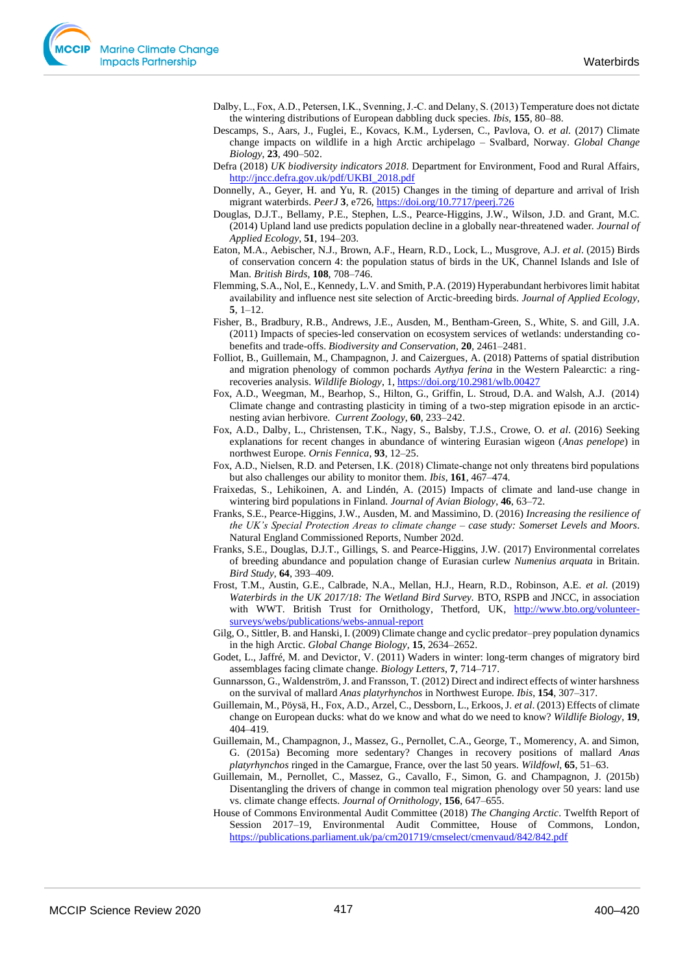- Dalby, L., Fox, A.D., Petersen, I.K., Svenning, J.‐C. and Delany, S. (2013) Temperature does not dictate the wintering distributions of European dabbling duck species. *Ibis*, **155**, 80–88.
- Descamps, S., Aars, J., Fuglei, E., Kovacs, K.M., Lydersen, C., Pavlova, O. *et al.* (2017) Climate change impacts on wildlife in a high Arctic archipelago – Svalbard, Norway. *Global Change Biology*, **23**, 490–502.
- Defra (2018) *UK biodiversity indicators 2018*. Department for Environment, Food and Rural Affairs, [http://jncc.defra.gov.uk/pdf/UKBI\\_2018.pdf](http://jncc.defra.gov.uk/pdf/UKBI_2018.pdf)
- Donnelly, A., Geyer, H. and Yu, R. (2015) Changes in the timing of departure and arrival of Irish migrant waterbirds. *PeerJ* **3**, e726[, https://doi.org/10.7717/peerj.726](https://doi.org/10.7717/peerj.726)
- Douglas, D.J.T., Bellamy, P.E., Stephen, L.S., Pearce-Higgins, J.W., Wilson, J.D. and Grant, M.C. (2014) Upland land use predicts population decline in a globally near-threatened wader*. Journal of Applied Ecology*, **51**, 194–203.
- Eaton, M.A., Aebischer, N.J., Brown, A.F., Hearn, R.D., Lock, L., Musgrove, A.J. *et al*. (2015) Birds of conservation concern 4: the population status of birds in the UK, Channel Islands and Isle of Man. *British Birds*, **108**, 708–746.
- Flemming, S.A., Nol, E., Kennedy, L.V. and Smith, P.A. (2019) Hyperabundant herbivores limit habitat availability and influence nest site selection of Arctic-breeding birds. *Journal of Applied Ecology*, **5**, 1–12.
- Fisher, B., Bradbury, R.B., Andrews, J.E., Ausden, M., Bentham-Green, S., White, S. and Gill, J.A. (2011) Impacts of species-led conservation on ecosystem services of wetlands: understanding cobenefits and trade-offs. *Biodiversity and Conservation*, **20**, 2461–2481.
- Folliot, B., Guillemain, M., Champagnon, J. and Caizergues, A. (2018) Patterns of spatial distribution and migration phenology of common pochards *Aythya ferina* in the Western Palearctic: a ringrecoveries analysis. *Wildlife Biology*, 1[, https://doi.org/10.2981/wlb.00427](https://doi.org/10.2981/wlb.00427)
- Fox, A.D., Weegman, M., Bearhop, S., Hilton, G., Griffin, L. Stroud, D.A. and Walsh, A.J. (2014) Climate change and contrasting plasticity in timing of a two-step migration episode in an arcticnesting avian herbivore. *Current Zoology*, **60**, 233–242.
- Fox, A.D., Dalby, L., Christensen, T.K., Nagy, S., Balsby, T.J.S., Crowe, O. *et al*. (2016) Seeking explanations for recent changes in abundance of wintering Eurasian wigeon (*Anas penelope*) in northwest Europe. *Ornis Fennica*, **93**, 12–25.
- Fox, A.D., Nielsen, R.D. and Petersen, I.K. (2018) Climate-change not only threatens bird populations but also challenges our ability to monitor them. *Ibis*, **161**, 467–474.
- Fraixedas, S., Lehikoinen, A. and Lindén, A. (2015) Impacts of climate and land-use change in wintering bird populations in Finland. *Journal of Avian Biology*, **46**, 63–72.
- Franks, S.E., Pearce-Higgins, J.W., Ausden, M. and Massimino, D. (2016) *Increasing the resilience of the UK's Special Protection Areas to climate change – case study: Somerset Levels and Moors*. Natural England Commissioned Reports, Number 202d.
- Franks, S.E., Douglas, D.J.T., Gillings, S. and Pearce-Higgins, J.W. (2017) Environmental correlates of breeding abundance and population change of Eurasian curlew *Numenius arquata* in Britain. *Bird Study*, **64**, 393–409.
- Frost, T.M., Austin, G.E., Calbrade, N.A., Mellan, H.J., Hearn, R.D., Robinson, A.E. *et al*. (2019) *Waterbirds in the UK 2017/18: The Wetland Bird Survey.* BTO, RSPB and JNCC, in association with WWT. British Trust for Ornithology, Thetford, UK, [http://www.bto.org/volunteer](http://www.bto.org/volunteer-surveys/webs/publications/webs-annual-report)[surveys/webs/publications/webs-annual-report](http://www.bto.org/volunteer-surveys/webs/publications/webs-annual-report)
- Gilg, O., Sittler, B. and Hanski, I. (2009) Climate change and cyclic predator–prey population dynamics in the high Arctic. *Global Change Biology*, **15**, 2634–2652.
- Godet, L., Jaffré, M. and Devictor, V. (2011) Waders in winter: long-term changes of migratory bird assemblages facing climate change. *Biology Letters*, **7**, 714–717.
- Gunnarsson, G., Waldenström, J. and Fransson, T. (2012) Direct and indirect effects of winter harshness on the survival of mallard *Anas platyrhynchos* in Northwest Europe. *Ibis*, **154**, 307–317.
- Guillemain, M., Pöysä, H., Fox, A.D., Arzel, C., Dessborn, L., Erkoos, J. *et al*. (2013) Effects of climate change on European ducks: what do we know and what do we need to know? *[Wildlife Biology](https://app.dimensions.ai/discover/publication?and_facet_journal=jour.1023110)*, **19**, 404–419.
- Guillemain, M., Champagnon, J., Massez, G., Pernollet, C.A., George, T., Momerency, A. and Simon, G. (2015a) Becoming more sedentary? Changes in recovery positions of mallard *Anas platyrhynchos* ringed in the Camargue, France, over the last 50 years. *Wildfowl*, **65**, 51–63.
- Guillemain, M., Pernollet, C., Massez, G., Cavallo, F., Simon, G. and Champagnon, J. (2015b) Disentangling the drivers of change in common teal migration phenology over 50 years: land use vs. climate change effects. *Journal of Ornithology*, **156**, 647–655.
- House of Commons Environmental Audit Committee (2018) *The Changing Arctic*. Twelfth Report of Session 2017–19, Environmental Audit Committee, House of Commons, London, <https://publications.parliament.uk/pa/cm201719/cmselect/cmenvaud/842/842.pdf>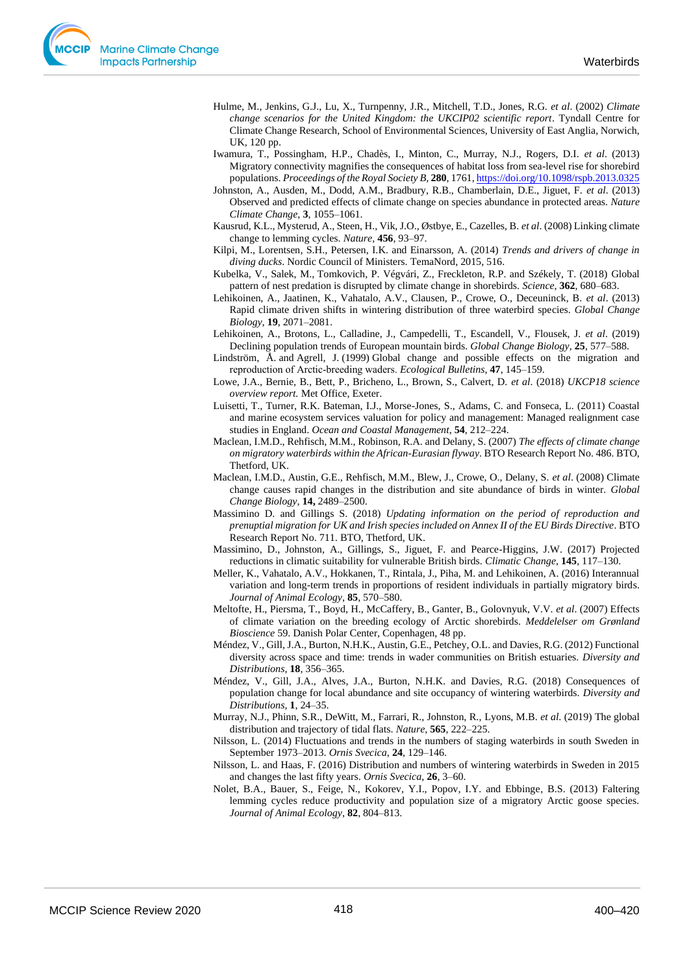- Hulme, M., Jenkins, G.J., Lu, X., Turnpenny, J.R., Mitchell, T.D., Jones, R.G. *et al*. (2002) *Climate change scenarios for the United Kingdom: the UKCIP02 scientific report*. Tyndall Centre for Climate Change Research, School of Environmental Sciences, University of East Anglia, Norwich, UK, 120 pp.
- Iwamura, T., Possingham, H.P., Chadès, I., Minton, C., Murray, N.J., Rogers, D.I. *et al*. (2013) Migratory connectivity magnifies the consequences of habitat loss from sea-level rise for shorebird populations. *Proceedings of the Royal Society B,* **280**, 1761[, https://doi.org/10.1098/rspb.2013.0325](https://doi.org/10.1098/rspb.2013.0325)
- Johnston, A., Ausden, M., Dodd, A.M., Bradbury, R.B., Chamberlain, D.E., Jiguet, F. *et al*. (2013) Observed and predicted effects of climate change on species abundance in protected areas. *Nature Climate Change*, **3**, 1055–1061.
- Kausrud, K.L., Mysterud, A., Steen, H., Vik, J.O., Østbye, E., Cazelles, B. *et al*. (2008) Linking climate change to lemming cycles. *Nature*, **456**, 93–97.
- Kilpi, M., Lorentsen, S.H., Petersen, I.K. and Einarsson, A. (2014) *Trends and drivers of change in diving ducks*. Nordic Council of Ministers. TemaNord, 2015, 516.
- Kubelka, V., Salek, M., Tomkovich, P. Végvári, Z., Freckleton, R.P. and Székely, T. (2018) Global pattern of nest predation is disrupted by climate change in shorebirds. *Science*, **362**, 680–683.
- Lehikoinen, A., Jaatinen, K., Vahatalo, A.V., Clausen, P., Crowe, O., Deceuninck, B. *et al*. (2013) Rapid climate driven shifts in wintering distribution of three waterbird species. *Global Change Biology*, **19**, 2071–2081.
- Lehikoinen, A., Brotons, L., Calladine, J., Campedelli, T., Escandell, V., Flousek, J. *et al*. (2019) Declining population trends of European mountain birds. *Global Change Biology*, **25**, 577–588.
- Lindström, Å. and Agrell, J. (1999) Global change and possible effects on the migration and reproduction of Arctic‐breeding waders. *Ecological Bulletins*, **47**, 145–159.
- Lowe, J.A., Bernie, B., Bett, P., Bricheno, L., Brown, S., Calvert, D. *et al*. (2018) *UKCP18 science overview report.* Met Office, Exeter.
- Luisetti, T., Turner, R.K. Bateman, I.J., Morse-Jones, S., Adams, C. and Fonseca, L. (2011) Coastal and marine ecosystem services valuation for policy and management: Managed realignment case studies in England. *Ocean and Coastal Management*, **54**, 212–224.
- Maclean, I.M.D., Rehfisch, M.M., Robinson, R.A. and Delany, S. (2007) *The effects of climate change on migratory waterbirds within the African-Eurasian flyway*. BTO Research Report No. 486. BTO, Thetford, UK.
- Maclean, I.M.D., Austin, G.E., Rehfisch, M.M., Blew, J., Crowe, O., Delany, S. *et al*. (2008) Climate change causes rapid changes in the distribution and site abundance of birds in winter. *Global Change Biology*, **14,** 2489–2500.
- Massimino D. and Gillings S. (2018) *Updating information on the period of reproduction and prenuptial migration for UK and Irish species included on Annex II of the EU Birds Directive*. BTO Research Report No. 711. BTO, Thetford, UK.
- Massimino, D., Johnston, A., Gillings, S., Jiguet, F. and Pearce-Higgins, J.W. (2017) Projected reductions in climatic suitability for vulnerable British birds. *Climatic Change*, **145**, 117–130.
- Meller, K., Vahatalo, A.V., Hokkanen, T., Rintala, J., Piha, M. and Lehikoinen, A. (2016) Interannual variation and long-term trends in proportions of resident individuals in partially migratory birds. *Journal of Animal Ecology*, **85**, 570–580.
- Meltofte, H., Piersma, T., Boyd, H., McCaffery, B., Ganter, B., Golovnyuk, V.V. *et al*. (2007) Effects of climate variation on the breeding ecology of Arctic shorebirds. *Meddelelser om Grønland Bioscience* 59. Danish Polar Center, Copenhagen, 48 pp.
- Méndez, V., Gill, J.A., Burton, N.H.K., Austin, G.E., Petchey, O.L. and Davies, R.G. (2012) Functional diversity across space and time: trends in wader communities on British estuaries. *Diversity and Distributions*, **18**, 356–365.
- Méndez, V., Gill, J.A., Alves, J.A., Burton, N.H.K. and Davies, R.G. (2018) Consequences of population change for local abundance and site occupancy of wintering waterbirds. *Diversity and Distributions*, **1**, 24–35.
- Murray, N.J., Phinn, S.R., DeWitt, M., Farrari, R., Johnston, R., Lyons, M.B. *et al*. (2019) The global distribution and trajectory of tidal flats. *Nature*, **565**, 222–225.
- Nilsson, L. (2014) Fluctuations and trends in the numbers of staging waterbirds in south Sweden in September 1973–2013. *Ornis Svecica*, **24**, 129–146.
- Nilsson, L. and Haas, F. (2016) Distribution and numbers of wintering waterbirds in Sweden in 2015 and changes the last fifty years. *Ornis Svecica*, **26**, 3–60.
- Nolet, B.A., Bauer, S., Feige, N., Kokorev, Y.I., Popov, I.Y. and Ebbinge, B.S. (2013) Faltering lemming cycles reduce productivity and population size of a migratory Arctic goose species. *Journal of Animal Ecology*, **82**, 804–813.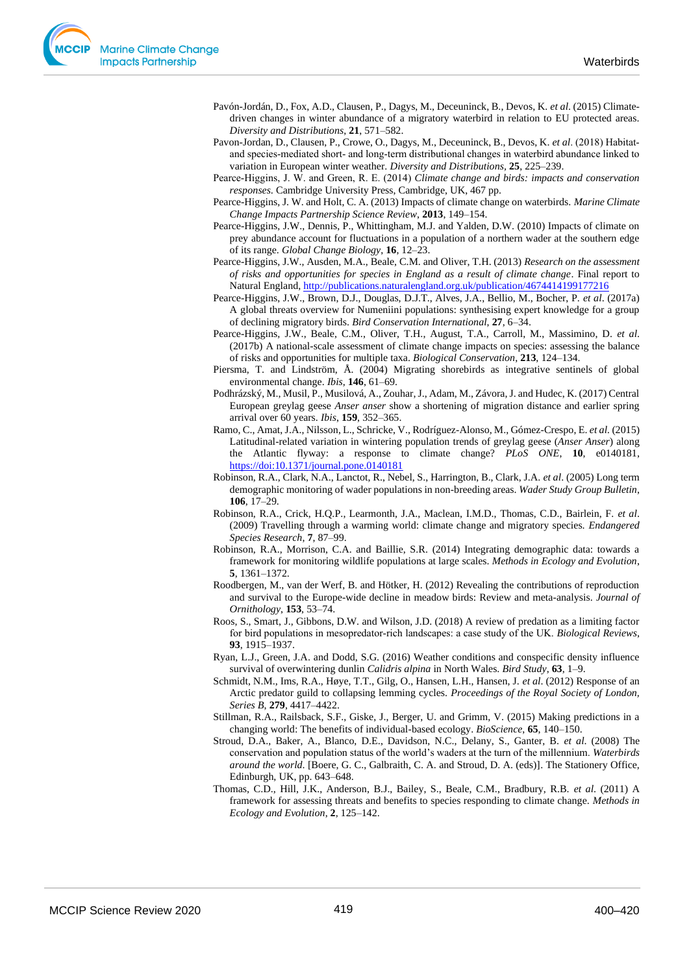- Pavón-Jordán, D., Fox, A.D., Clausen, P., Dagys, M., Deceuninck, B., Devos, K. *et al*. (2015) Climatedriven changes in winter abundance of a migratory waterbird in relation to EU protected areas. *Diversity and Distributions*, **21**, 571–582.
- Pavon-Jordan, D., Clausen, P., Crowe, O., Dagys, M., Deceuninck, B., Devos, K. *et al.* (2018) Habitatand species‐mediated short‐ and long‐term distributional changes in waterbird abundance linked to variation in European winter weather. *Diversity and Distributions,* **25**, 225–239.
- Pearce‐Higgins, J. W. and Green, R. E. (2014) *Climate change and birds: impacts and conservation responses*. Cambridge University Press, Cambridge, UK, 467 pp.
- Pearce-Higgins, J. W. and Holt, C. A. (2013) Impacts of climate change on waterbirds. *Marine Climate Change Impacts Partnership Science Review*, **2013**, 149–154.
- Pearce-Higgins, J.W., Dennis, P., Whittingham, M.J. and Yalden, D.W. (2010) Impacts of climate on prey abundance account for fluctuations in a population of a northern wader at the southern edge of its range. *Global Change Biology*, **16**, 12–23.
- Pearce-Higgins, J.W., Ausden, M.A., Beale, C.M. and Oliver, T.H. (2013) *Research on the assessment of risks and opportunities for species in England as a result of climate change*. Final report to Natural England, <http://publications.naturalengland.org.uk/publication/4674414199177216>
- Pearce-Higgins, J.W., Brown, D.J., Douglas, D.J.T., Alves, J.A., Bellio, M., Bocher, P. *et al*. (2017a) A global threats overview for Numeniini populations: synthesising expert knowledge for a group of declining migratory birds. *Bird Conservation International*, **27**, 6–34.
- Pearce-Higgins, J.W., Beale, C.M., [Oliver, T.H.,](http://centaur.reading.ac.uk/view/creators/90006850.html) August, T.A., Carroll, M., Massimino, D. *et al*. (2017b) A national-scale assessment of climate change impacts on species: assessing the balance of risks and opportunities for multiple taxa. *Biological Conservation*, **213**, 124–134.
- Piersma, T. and Lindström, Å. (2004) Migrating shorebirds as integrative sentinels of global environmental change. *Ibis*, **146**, 61–69.
- Podhrázský, M., Musil, P., Musilová, A., Zouhar, J., Adam, M., Závora, J. and Hudec, K. (2017) Central European greylag geese *Anser anser* show a shortening of migration distance and earlier spring arrival over 60 years. *Ibis*, **159**, 352–365.
- Ramo, C., Amat, J.A., Nilsson, L., Schricke, V., Rodríguez-Alonso, M., Gómez-Crespo, E. *et al.* (2015) Latitudinal-related variation in wintering population trends of greylag geese (*Anser Anser*) along the Atlantic flyway: a response to climate change? *PLoS ONE*, **10**, e0140181, <https://doi:10.1371/journal.pone.0140181>
- Robinson, R.A., Clark, N.A., Lanctot, R., Nebel, S., Harrington, B., Clark, J.A. *et al*. (2005) Long term demographic monitoring of wader populations in non-breeding areas. *Wader Study Group Bulletin*, **106**, 17–29.
- Robinson, R.A., Crick, H.Q.P., Learmonth, J.A., Maclean, I.M.D., Thomas, C.D., Bairlein, F. *et al*. (2009) Travelling through a warming world: climate change and migratory species. *Endangered Species Research*, **7**, 87–99.
- Robinson, R.A., Morrison, C.A. and Baillie, S.R. (2014) Integrating demographic data: towards a framework for monitoring wildlife populations at large scales. *Methods in Ecology and Evolution*, **5**, 1361–1372.
- Roodbergen, M., van der Werf, B. and Hötker, H. (2012) Revealing the contributions of reproduction and survival to the Europe-wide decline in meadow birds: Review and meta-analysis. *Journal of Ornithology*, **153**, 53–74.
- Roos, S., Smart, J., Gibbons, D.W. and Wilson, J.D. (2018) A review of predation as a limiting factor for bird populations in mesopredator‐rich landscapes: a case study of the UK. *Biological Reviews*, **93**, 1915–1937.
- Ryan, L.J., Green, J.A. and Dodd, S.G. (2016) Weather conditions and conspecific density influence survival of overwintering dunlin *Calidris alpina* in North Wales. *Bird Study*, **63**, 1–9.
- Schmidt, N.M., Ims, R.A., Høye, T.T., Gilg, O., Hansen, L.H., Hansen, J. *et al*. (2012) Response of an Arctic predator guild to collapsing lemming cycles. *Proceedings of the Royal Society of London, Series B*, **279**, 4417–4422.
- [Stillman, R.A., Railsback, S.F., Giske, J., Berger, U. and Grimm, V. \(2015\) Making predictions in a](http://bioscience.oxfordjournals.org/content/65/2/140.full)  [changing world: The benefits of individual-based ecology.](http://bioscience.oxfordjournals.org/content/65/2/140.full) *BioScience*, **65**, 140–150.
- Stroud, D.A., Baker, A., Blanco, D.E., Davidson, N.C., Delany, S., Ganter, B. *et al*. (2008) The conservation and population status of the world's waders at the turn of the millennium. *Waterbirds around the world*. [Boere, G. C., Galbraith, C. A. and Stroud, D. A. (eds)]. The Stationery Office, Edinburgh, UK, pp. 643–648.
- Thomas, C.D., Hill, J.K., Anderson, B.J., Bailey, S., Beale, C.M., Bradbury, R.B. *et al*. (2011) A framework for assessing threats and benefits to species responding to climate change. *Methods in Ecology and Evolution*, **2**, 125–142.